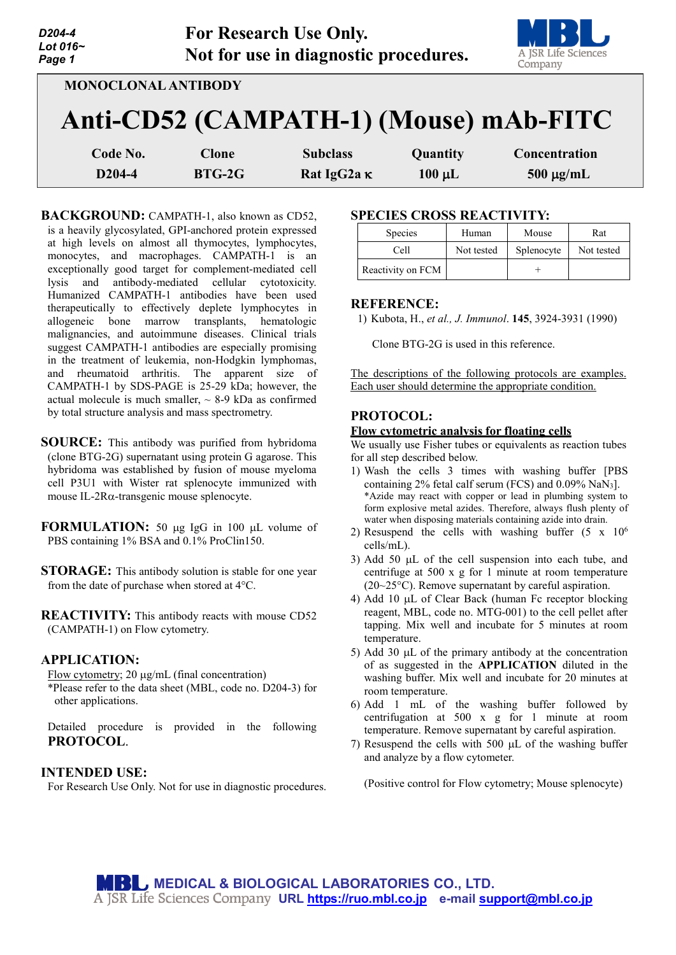| D204-4<br>Lot 016~<br>Page 1 |               | <b>For Research Use Only.</b><br>Not for use in diagnostic procedures. |             | A JSR Life Sciences<br>Company         |
|------------------------------|---------------|------------------------------------------------------------------------|-------------|----------------------------------------|
| <b>MONOCLONAL ANTIBODY</b>   |               |                                                                        |             |                                        |
|                              |               |                                                                        |             | Anti-CD52 (CAMPATH-1) (Mouse) mAb-FITC |
| Code No.                     | <b>Clone</b>  | <b>Subclass</b>                                                        | Quantity    | Concentration                          |
| D <sub>204-4</sub>           | <b>BTG-2G</b> | Rat IgG2a K                                                            | $100 \mu L$ | $500 \mu g/mL$                         |

BACKGROUND: CAMPATH-1, also known as CD52, is a heavily glycosylated, GPI-anchored protein expressed at high levels on almost all thymocytes, lymphocytes, monocytes, and macrophages. CAMPATH-1 is an exceptionally good target for complement-mediated cell lysis and antibody-mediated cellular cytotoxicity. Humanized CAMPATH-1 antibodies have been used therapeutically to effectively deplete lymphocytes in allogeneic bone marrow transplants, hematologic malignancies, and autoimmune diseases. Clinical trials suggest CAMPATH-1 antibodies are especially promising in the treatment of leukemia, non-Hodgkin lymphomas, and rheumatoid arthritis. The apparent size of CAMPATH-1 by SDS-PAGE is 25-29 kDa; however, the actual molecule is much smaller,  $\sim$  8-9 kDa as confirmed by total structure analysis and mass spectrometry.

- **SOURCE:** This antibody was purified from hybridoma (clone BTG-2G) supernatant using protein G agarose. This hybridoma was established by fusion of mouse myeloma cell P3U1 with Wister rat splenocyte immunized with mouse IL-2Rα-transgenic mouse splenocyte.
- **FORMULATION:** 50 µg IgG in 100 µL volume of PBS containing 1% BSA and 0.1% ProClin150.
- **STORAGE:** This antibody solution is stable for one year from the date of purchase when stored at 4°C.

**REACTIVITY:** This antibody reacts with mouse CD52 (CAMPATH-1) on Flow cytometry.

## **APPLICATION:**

Flow cytometry; 20 µg/mL (final concentration)

\*Please refer to the data sheet (MBL, code no. D204-3) for other applications.

Detailed procedure is provided in the following **PROTOCOL**.

### **INTENDED USE:**

For Research Use Only. Not for use in diagnostic procedures.

## **SPECIES CROSS REACTIVITY:**

| <b>Species</b>    | Human      | Mouse      | Rat        |
|-------------------|------------|------------|------------|
| Cell              | Not tested | Splenocyte | Not tested |
| Reactivity on FCM |            |            |            |

#### **REFERENCE:**

1) Kubota, H., *et al., J. Immunol*. **145**, 3924-3931 (1990)

Clone BTG-2G is used in this reference.

The descriptions of the following protocols are examples. Each user should determine the appropriate condition.

## **PROTOCOL:**

#### **Flow cytometric analysis for floating cells**

We usually use Fisher tubes or equivalents as reaction tubes for all step described below.

- 1) Wash the cells 3 times with washing buffer [PBS containing 2% fetal calf serum (FCS) and 0.09% NaN3]. \*Azide may react with copper or lead in plumbing system to form explosive metal azides. Therefore, always flush plenty of water when disposing materials containing azide into drain.
- 2) Resuspend the cells with washing buffer  $(5 \times 10^6$ cells/mL).
- 3) Add 50 µL of the cell suspension into each tube, and centrifuge at 500 x g for 1 minute at room temperature (20~25°C). Remove supernatant by careful aspiration.
- 4) Add 10 µL of Clear Back (human Fc receptor blocking reagent, MBL, code no. MTG-001) to the cell pellet after tapping. Mix well and incubate for 5 minutes at room temperature.
- 5) Add 30 µL of the primary antibody at the concentration of as suggested in the **APPLICATION** diluted in the washing buffer. Mix well and incubate for 20 minutes at room temperature.
- 6) Add 1 mL of the washing buffer followed by centrifugation at 500 x g for 1 minute at room temperature. Remove supernatant by careful aspiration.
- 7) Resuspend the cells with  $500 \mu L$  of the washing buffer and analyze by a flow cytometer.

(Positive control for Flow cytometry; Mouse splenocyte)